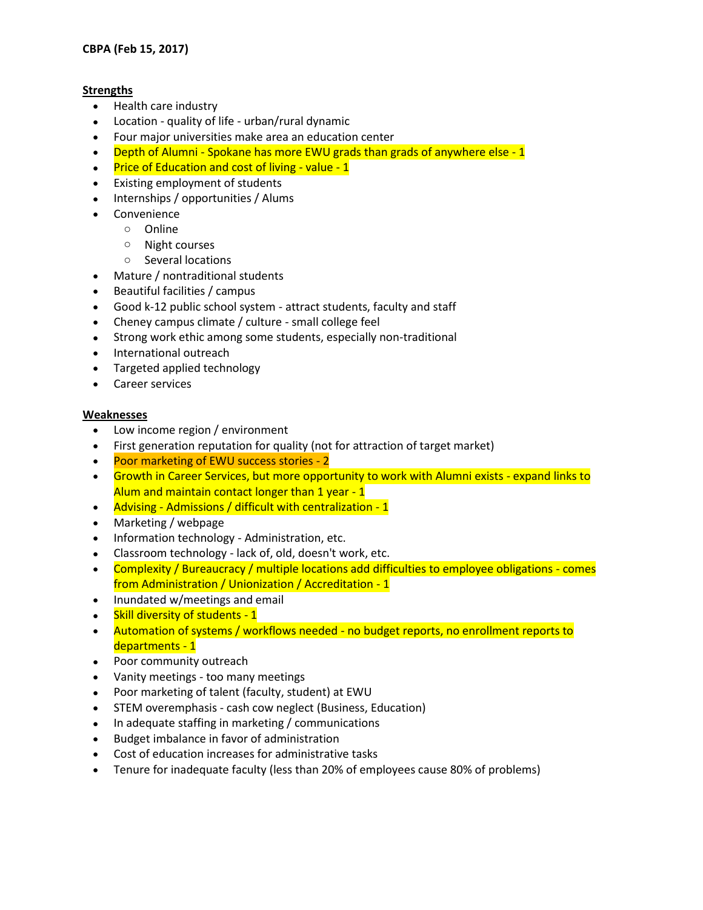## **Strengths**

- Health care industry
- Location quality of life urban/rural dynamic
- Four major universities make area an education center
- Depth of Alumni Spokane has more EWU grads than grads of anywhere else 1
- Price of Education and cost of living value 1
- Existing employment of students
- Internships / opportunities / Alums
- Convenience
	- o Online
	- o Night courses
	- o Several locations
- Mature / nontraditional students
- Beautiful facilities / campus
- Good k-12 public school system attract students, faculty and staff
- Cheney campus climate / culture small college feel
- Strong work ethic among some students, especially non-traditional
- International outreach
- Targeted applied technology
- Career services

## **Weaknesses**

- Low income region / environment
- First generation reputation for quality (not for attraction of target market)
- Poor marketing of EWU success stories 2
- Growth in Career Services, but more opportunity to work with Alumni exists expand links to Alum and maintain contact longer than 1 year - 1
- Advising Admissions / difficult with centralization 1
- Marketing / webpage
- Information technology Administration, etc.
- Classroom technology lack of, old, doesn't work, etc.
- Complexity / Bureaucracy / multiple locations add difficulties to employee obligations comes from Administration / Unionization / Accreditation - 1
- Inundated w/meetings and email
- Skill diversity of students 1
- Automation of systems / workflows needed no budget reports, no enrollment reports to departments - 1
- Poor community outreach
- Vanity meetings too many meetings
- Poor marketing of talent (faculty, student) at EWU
- STEM overemphasis cash cow neglect (Business, Education)
- In adequate staffing in marketing / communications
- Budget imbalance in favor of administration
- Cost of education increases for administrative tasks
- Tenure for inadequate faculty (less than 20% of employees cause 80% of problems)